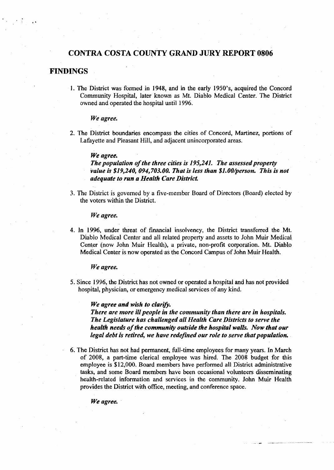# **CONTRA COSTA COUNTY GRAND JURY REPORT 0806**

# **FINDINGS**

1. The District was formed in 1948, and in the early 1950's, acquired the Concord Community Hospital, later known as Mt. Diablo Medical Center. The District owned and operated the hospital until 1996.

*We agree.* 

2. The District boundaries encompass the cities of Concord, Martinez, portions of Lafayette and Pleasant Hill, and adjacent unincorporated areas.

#### We agree.

*The population of the three cifies* **is** *195,241. The assessed property value* **is** *\$19,240, 094,703.00. That* is *less than \$l.OO/fperson. This is not adequate to run a Health Care District.* 

3. The District is governed by a five-member Board of Directors (Board) elected by the voters within the District.

*We agree.* 

4. In 1996, under threat of financial insolvency, the District transferred the Mt. Diablo Medical Center and all related property and assets to John Muir Medical Center (now John Muir Health), a private, non-profit corporation. Mt. Diablo Medical Center is now operated as the Concord Campus of John Muir Health.

*We agree.* 

5. Since 1996, the District has not owned or operated a hospital and has not provided hospital, physician, or emergency medical services of any kind.

*We agree and wish to clarify.* 

*There are more ill people in the community than there are in hospitals. The Legislature has challenged all Health Care Districts to serve the health needs of the community outside the hospital walls. Now that our*  legal debt is retired, we have redefined our role to serve that population.

6. The District has not had permanent, full-time employees for many years. In March of 2008, a part-time clerical employee was hired. The 2008 budget for this employee is \$12,000. Board members have performed all District administrative tasks, and some Board members have been occasional volunteers disseminating health-related information and services in the community. John Muir Health provides the District with office, meeting, and conference space.

*We agree,*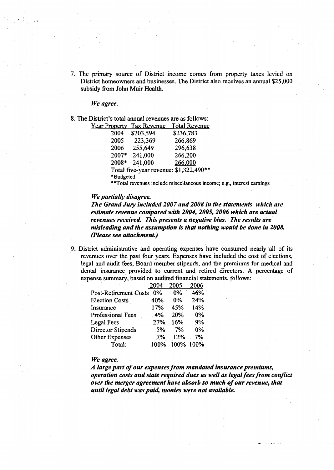7. The primary source of District income comes from property taxes levied on District homeowners and businesses. The District also receives an annual \$25,000 subsidy **fiom** John Muir Health.

*We agree.* 

8. The District's total annual revenues are as follows:

| <b>Year Property</b> | <b>Tax Revenue</b> | <b>Total Revenue</b>                   |
|----------------------|--------------------|----------------------------------------|
| 2004                 | \$203,594          | \$236,783                              |
| 2005                 | 223,369            | 266,869                                |
| 2006                 | 255,649            | 296,638                                |
| 2007*                | 241,000            | 266,200                                |
| 2008*                | 241,000            | 266,000                                |
|                      |                    | Total five-year revenue: \$1,322,490** |
| *Budgeted            |                    |                                        |

**\*\*Total revenues include miscellaneous income; e.g., interest earnings** 

### *We partially disagree.*

*The Grand Jury included 2007 and 2008 in the statements which are estimate revenue compared with 2004,2005,2006 which are actual revenues received. This presents a negative bias. The results are misleading and the assumption* **is** *that nothing would be done in 2008. (Please see attachmenL)* 

9. District administrative and operating expenses have consumed nearly all of its revenues over the past four years. Expenses have included the cost of elections, legal and audit fees, Board member stipends, and the premiums for medical and dental insurance provided to current and retired directors. A percentage of expense summary, based on audited financial statements, follows:

|                              | 2004  | 2005  | 2006 |
|------------------------------|-------|-------|------|
| <b>Post-Retirement Costs</b> | $0\%$ | 0%    | 46%  |
| <b>Election Costs</b>        | 40%   | $0\%$ | 24%  |
| Insurance                    | 17%   | 45%   | 14%  |
| <b>Professional Fees</b>     | 4%    | 20%   | 0%   |
| Legal Fees                   | 27%   | 16%   | 9%   |
| <b>Director Stipends</b>     | 5%    | 7%    | 0%   |
| <b>Other Expenses</b>        | 7%    | 12%   | 7%   |
| Total:                       | 100%  | 100%  | 100% |

## We agree.

*A large part of our expenses from mandated insurance premiums, operation costs and state required dues as well as legal fees from conflict over the merger agreement have absorb so much of our revenue, that until legal debt waspaid, monies were not available.*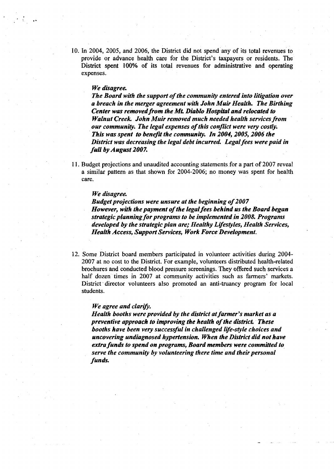10. In 2004, 2005, and 2006, the District did not spend any of its total revenues to provide or advance health care for the District's taxpayers or residents. The District spent 100% of its total revenues for administrative and operating expenses.

#### **We disagree.**

*The Board with the support of the community entered into litigation over a breach in the merger agreement with John Muir Health. The Birthing Center was removed from the Mt. Diablo Hospital and relocated to Walnut Creek John Muir removed much needed health services from our community. The legal expenses of this conflict were very costly. TAis was spent to benefrf the community. In 2004,2005,2004 the District was decreasing the legal debt incurred. Legal fees were paid in full by August 2007.* 

1 1. Budget projections and unaudited accounting statements for a part of 2007 reveal a similar pattern as that shown for 2004-2006; no money was spent for health care.

## *We disagree*

*Budget projections were unsure at the beginning of 2007 However, with the payment of the legal fees behind us the Board began strategic planning for programs to be implemented in 2008. Programs developed by the strategic plan are; Healthy Lifesstyles, Health Services, Health Access, Support Services, Work Force Development.* 

12. Some District board members participated in volunteer activities during 2004- 2007 at no cost to the District. For example, volunteers distributed health-related brochures and conducted blood pressure screenings. They offered such services a half dozen times in 2007 at community activities such as farmers' markets. District director volunteers also promoted an anti-truancy program for local students.

#### *We agree and clarify.*

*Health booths were provided by the district at farmer's market as a preventive approach to improving the health of the district. These booths have been very successful in challenged life-style choices and uncovering undiagnosed hypertension. When the District did not Rave extra funds to spend on programs, Board members were committed to serve the community by volunteering there time and their personal funds.*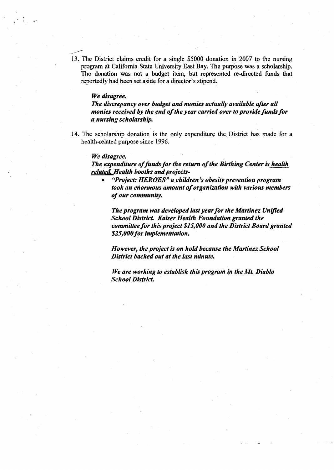13. The District claims credit for a single \$5000 donation in 2007 to the nursing program at California State University East Bay. The purpose was a scholarship. The donation was not a budget item, but represented re-directed funds that reportedly had been set aside for a director's stipend.

### *We disagree.*

...-

The discrepancy over budget and monies actually available after all *monies received by the end of the year carried over to provide funds for a nursing scholarship.* 

14. The scholarship donation is the only expenditure the District has made for a health-related purpose since 1996.

#### *We disagree.*

*The expenditure of funds for the return of the Birthing Center is health related Health booths and projects-* 

*"Project: HEROES" a children 's obesity prevention program took an enormous amount of organization with various members of our community.* 

*The program was developed last year for the Martinez Unified School District. Kaiser Health Foundation granted the committee for this project \$1 5,000 and the District Board granted*  **\$25,000 for implementation.** 

*However, the project is on hold because the Martinez School District backed out at the last minute.* 

*We are working to establish this program in the Mt. Diablo School Districf.*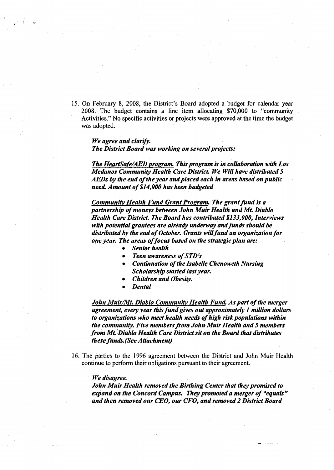**15. On February 8, 2008, the District's Board adopted a budget for calendar year 2008. The budget contains a line item allocating \$70,000 to "community Activities." No specific activities or projects were approved at the time the budget was adopted.** 

## *We agree and clarifi. The District Board was working on several projects:*

*The HeartSafdAED propram.* **This** *program is in collaboration with Los Medanos Community Health Care District. We Will have distributed 5 AEDs by the end of the year andplaced each in areas based on public need Amount of \$14,000 has been budgeted* 

*Community Health Fund Grant Program. The grant fund is a partnership of moneys between John Muir Health and Mt. Diablo Health Care District. The Board has contributed \$133,000, Interviews with potential grantees are drew* **underway** *and fun& should be distributed by the end of October. Grants will fund an organization for one year. The areas of focus based on the strategic plan are:* 

- **•** Senior health
- *Teen awareness of STD* 's
- $\bullet$ *Continuation of the Isabelle Chenoweth Nursing Scholarship started last year.*
- *Children and Obesity.*
- *Dental*

*John MuirML Diablo Communitv Health Fund Aspart of the merger agreement, every year this fund gives out approximately 1 million dollars*  to organizations who meet health needs of high risk populations within *the community. Five members from John Muir Health and 5 members from Mt. Diablo Healfh Care District sit on the Board that distributes these funds. (See Attachment)* 

**16. The parties to the 1996 agreement between the District and John Muir Health continue to perform their obligations pursuant to their agreement.** 

#### *We disagree.*

*John Muir Health removed the Birthing Center that they promised to expand on the Concord Campus. They promoted a merger of "equals" and then removed our CEO, our CFO, and removed 2 District Board*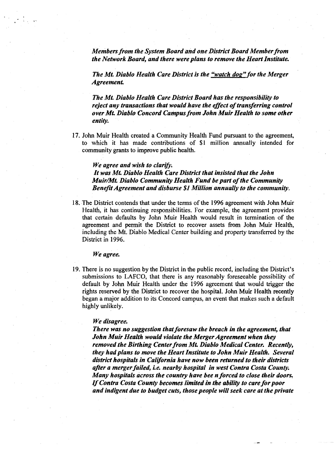*Members from the System Board and one Dishict Board Member from the Network Board, and there were plans to remove the Heart Institute.* 

*The Mt. Diablo Health Care District is the "watch dog" for the Merger Agreement.* 

*The Mt. Diablo Health Care District Board has the responsibility to reject any transactions that would have the effect of transferring control over Mt. Diablo Concord Campus from John Muir Health to some other entity.* 

**17.** John Muir Health created a Community Health Fund pursuant to the agreement, to which it has made contributions of \$1 million annually intended for community grants to improve public health.

### *We agree and wish to clarih.*

*It was Mt. Diablo Health Care District that insisted that the John MuirMt. Diablo Community Health Fund be part of the Community Beneft Agreement and disburse \$I Million annually to the community.* 

18. The District contends that under the terms of the **1996** agreement with John Muir Health, it has continuing responsibilities. For example, the agreement provides that certain defaults by John Muir Health would resuit in termination of the agreement and permit the District to recover assets from John Muir Health, including the Mt. Diablo Medical Center building and property transferred by the District in **1996.** 

We agree.

**19.** There is no suggestion by the District in the public record, including the District's submissions to LAFCO, that there is any reasonably foreseeable possibility of default by John Muir Health under the **1996** agreement that would trigger the rights reserved by the District to recover the hospital. John Muir Health recently began a major addition to its Concord campus, an event that makes such a default highly unlikely.

## *We disagree.*

*There was no suggestion that foresaw the breach in the agreement, that John Muir Health would violate the Merger Agreement when they removed the Birthing Center from Mt. Diablo Medical Center. Recently, they had plans to move the Heart Institute to John Muir Health. Several district hospitals in California have now been returned to their districts after a merger failed,* **ie.** *nearby hospital in west Contra Costa County. Many hospitals across the country have bee n forced to close their doors. If Contra Costa County becomes limited in the ability to care for poor and indigent due to budget cuts, those people will seek care at the private*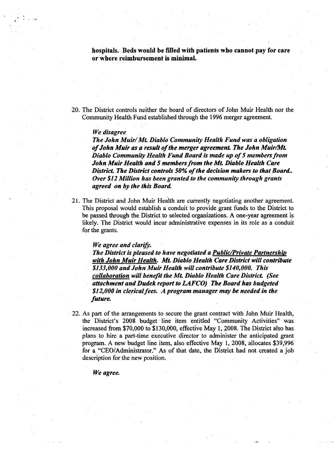**hospitals. Beds would be filled with patients who cannot pay for care or where reimbursement is minimal.** 

20. The District controls neither the board of directors of John Muir Health nor the Community Health Fund established through the 1996 merger agreement.

## *We disagree*

*The John Muir/M~ Diablo Community Health Fund was a obligation of John Muir as a resuli of the merger agreement. The John MuirMt. Diablo Community Health Fund Board is mde up of 5 members from John Muir Hedth and 5 members from the Mt. Diablo Hedth Care District. The District controls 50% of the decision makers to that Boatd. Over \$12 Million has been granted to the community through grants*  agreed on by the this Board.

21. The District and John Muir Health are currently negotiating another agreement. This proposal would establish a conduit to provide grant funds to the District to be passed through the District to selected organizations. A one-year agreement is likely. The District would incur administrative expenses in its role as a conduit for the grants.

### *We agree and clarify.*

*The District is pleased to have negotiated a Public/Private Partnership with John Muir Health. Mt. Diablo Health Care District will contribute \$133,000 and John Muir Health will contribute \$140,000. This collaboration will benefrf the Mt. Diablo Health Care District. (See*  attachment and Dudek report to LAFCO) The Board has budgeted *\$1 2,000 in clerical fees. A program manager may be needed in the*  future.

22. As part of the arrangements to secure the grant contract with John Muir Health, the District's 2008 budget line item entitled "Community Activities" was increased from \$70,000 to \$130,000, effective May 1,2008. The District also has plans to hire a part-time executive director to administer the anticipated grant program. A new budget line item, also effective May 1, 2008, allocates \$39,996 for a "CEO/Administrator." As of that date, the District had not created a job description for the new position.

## *We agree.*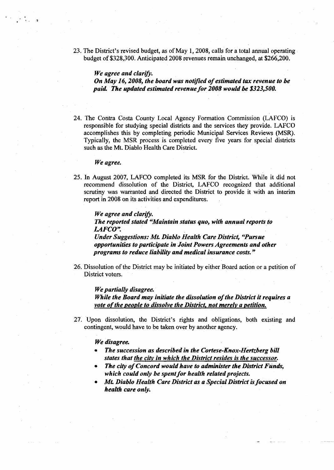23. The District's revised budget, as of May 1,2008, calls for a total annual operating budget of \$328,300. Anticipated 2008 revenues remain unchanged, at \$266,200.

*We agree and clarif. On May 16,2008, the board was notified of estimated tax revenue to be paid The updated estimated revenue for 2008 would be \$323,500.* 

24. The Contra Costa County Local Agency Formation Commission (LAFCO) is responsible for studying special districts and the services they provide. LAFCO accomplishes this by completing periodic Municipal Services Reviews (MSR). Typically, the MSR process is completed every five years for special districts such **as** the Mt. Diablo Health Care District.

#### We agree.

25. In August 2007, LAFCO completed its MSR for the District. While it did not recommend dissolution of the District, LAFCO recognized that additional scrutiny was warranted and directed the District to provide it with an interim report in 2008 on its activities and expenditures.

We agree and clarify. *The reported stated "Maintain status quo, with annual reports to LAFCO".* 

*Under Suggestions: Mt. Diablo Health Care District, ''Pursue opportunities to participate in Joint Powers Agreements and other*  programs to reduce liability and medical insurance costs."

26. Dissolution of the District may be initiated by either Board action or a petition of District voters.

## *We partially disagree.*

*FWtile the Board may initiate the dissolution of the District it requires a vote of the people to dissolve the District, not merely a petition.* 

27. Upon dissolution, the District's rights and obligations, both existing and contingent, would have to be taken over by another agency.

## *We disagree.*

- *The succession as described in the Cortese-Knox-Hertzberg bill states that the city in which the District resides is the successor.*
- *The clty of Concord would have to administer the District Funds,*  which could only be spent for health related projects.
- *Mt. Diablo Health Care District as a Special District is focused on health care only.*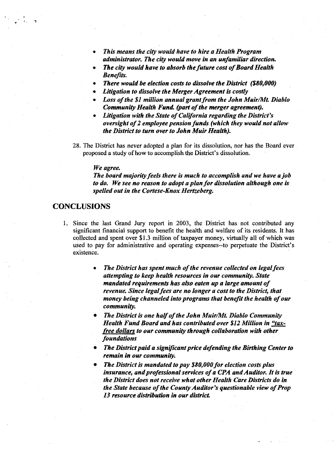- *This means the city would have to hire a Health Program administrator. The city would move in an unfamiliar direction.*
- *The city would have to absorb the future cost of Board Health Benefits.*
- *There would be election costs to dissolve the District (\$80,000)*
- *Litigation to dissolve the Merger Agreement* **is** *costly*
- *Loss of the \$1 million annual grant from the John MuirMt. Diablo Community Health Fund. (part of the merger agreement).*
- *Litigation with the State of California regarding the District's oversight of 2 employee pension funds (which they would not allow the District to turn over to John Muir Health).*
- 28. The District has never adopted a plan for its dissolution, nor has the Board ever proposed a study of how to accomplish the District's dissolution.

#### *We agree.*

*The board majority feels there is much to accomplish and we have a job to do. We see no reason to adopt a plan for dissolution although one is spelled out in the Cortese-Knox Hertzeberg.* 

# **CONCLUSIONS**

- 1, Since the last Grand Jury report in 2003, the District has not contributed any significant financial support to benefit the health and welfare of its residents. It has collected and spent over \$1.3 million of taxpayer money, virtually all of which was used to pay for administrative and operating expenses--to perpetuate the District's existence.
	- *The District has spent much of the revenue collected on legal fees attempting to keep health resources in our community. State*  mandated requirements has also eaten up a large amount of *revenue. Since legal fees are no longer a cost to the District, that money being channeled into programs that benefrf the health of our community.*
	- *The District is one half of the John Muir/Mt. Diablo Community Health Fund Board and has contributed over \$12 Million in* **"tax***free dollars to our community through collaboration with other foundations*
	- **The District paid a significant price defending the Birthing Center to** *remain* **in** *our community.*
	- *The District is mandated to pay \$80,000 for election costs plus*  insurance, and professional services of a CPA and Auditor. It is true *the District does not receive what other Health Care Districts do in the State because of the County Auditor's questionable view of Prop 13 resource distFibution in our district.*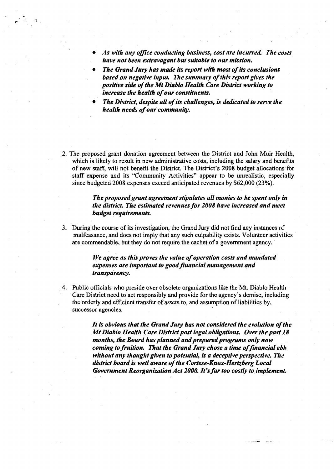- As with any office conducting business, cost are incurred. The costs *have not been extravagant but suitable to our mission.*
- *The Grand Jury has made* its *report wilir most of its conclusions based on negative input. The summary of this report gives the positive* **side** *of the Mt Diablo Health Care District working to increase the health of our constituents.*
- *The District, despite all of its challenges, is dedicated to serve the health needs of our community.*
- 2. The proposed grant donation agreement between the District and John Muir Health, which is likely to result in new administrative costs, including the salary and benefits of new staff, will not benefit the District. The District's 2008 budget allocations for staff expense and its "Community Activities" appear to be unrealistic, especially since budgeted 2008 expenses exceed anticipated revenues by \$62,000 (23%).

## *The proposed grant agreement stipulates all monies to be spent only in the district. The estimated revenues for 2008 have increased and meet budget requirements.*

3. During the course of its investigation, the Grand Jury did not frnd any instances of malfeasance, and does not imply that any such culpability exists. Volunteer activities are commendable, but they do not require the cachet of a government agency.

## *We agree as this proves the value of operation costs and mandated*  expenses are important to good financial management and *transparency.*

4. Public officials who preside over obsolete organizations like the Mt. Diablo Health Care District need to act responsibly and provide for the agency's demise, including the orderly and efficient transfer of assets to, and assumption of liabilities by, successor agencies.

> *It is obvious that the Grand Jury has not considered the evolution of the Mt Diablo Health Care District post legal obligations. Over the past 18 months, the Board has planned and prepared programs only now coming to fruition. That the Grand Jury chose a time offinancial ebb without any thought given to potential, is a deceptive perspective. The district board is well aware of the Cortese-Knox-Hertzberg Local Government Reorganization Act 2000. It's far too costly to implement.*